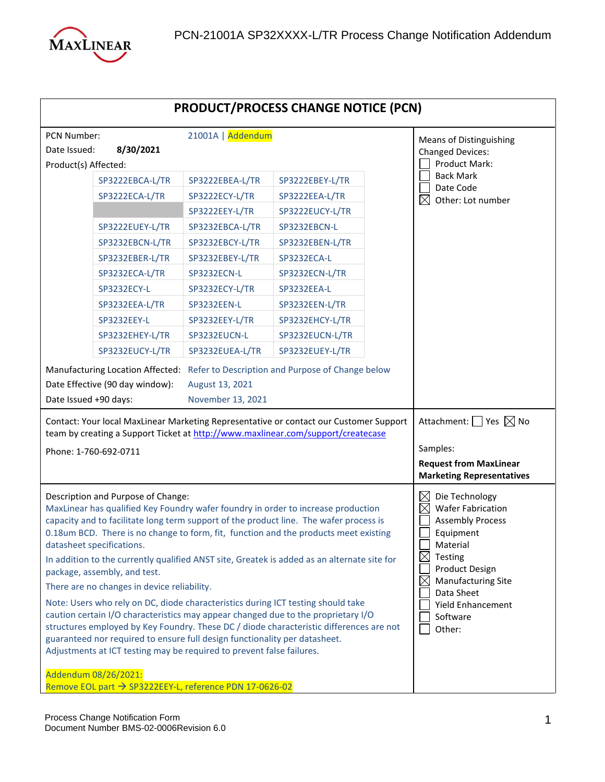

| <b>PRODUCT/PROCESS CHANGE NOTICE (PCN)</b>                                                                                                                                                                                                                                                                                                                                                                                                                                                                                                                                                                                                                                                                                                                                                                                                                                                                                                                                                                                         |                                                                                                                                                                                                                                                           |                                                                                                                                                                                                                    |  |                                                                                                                                                                                                                                                                           |
|------------------------------------------------------------------------------------------------------------------------------------------------------------------------------------------------------------------------------------------------------------------------------------------------------------------------------------------------------------------------------------------------------------------------------------------------------------------------------------------------------------------------------------------------------------------------------------------------------------------------------------------------------------------------------------------------------------------------------------------------------------------------------------------------------------------------------------------------------------------------------------------------------------------------------------------------------------------------------------------------------------------------------------|-----------------------------------------------------------------------------------------------------------------------------------------------------------------------------------------------------------------------------------------------------------|--------------------------------------------------------------------------------------------------------------------------------------------------------------------------------------------------------------------|--|---------------------------------------------------------------------------------------------------------------------------------------------------------------------------------------------------------------------------------------------------------------------------|
| PCN Number:<br>8/30/2021<br>Date Issued:                                                                                                                                                                                                                                                                                                                                                                                                                                                                                                                                                                                                                                                                                                                                                                                                                                                                                                                                                                                           | 21001A   Addendum                                                                                                                                                                                                                                         |                                                                                                                                                                                                                    |  | <b>Means of Distinguishing</b><br><b>Changed Devices:</b>                                                                                                                                                                                                                 |
| Product(s) Affected:<br>SP3222EBCA-L/TR<br>SP3222ECA-L/TR<br>SP3222EUEY-L/TR<br>SP3232EBCN-L/TR<br>SP3232EBER-L/TR<br>SP3232ECA-L/TR<br>SP3232ECY-L<br>SP3232EEA-L/TR<br>SP3232EEY-L<br>SP3232EHEY-L/TR<br>SP3232EUCY-L/TR<br>Manufacturing Location Affected: Refer to Description and Purpose of Change below<br>Date Effective (90 day window):<br>Date Issued +90 days:                                                                                                                                                                                                                                                                                                                                                                                                                                                                                                                                                                                                                                                        | SP3222EBEA-L/TR<br>SP3222ECY-L/TR<br>SP3222EEY-L/TR<br>SP3232EBCA-L/TR<br>SP3232EBCY-L/TR<br>SP3232EBEY-L/TR<br>SP3232ECN-L<br>SP3232ECY-L/TR<br>SP3232EEN-L<br>SP3232EEY-L/TR<br>SP3232EUCN-L<br>SP3232EUEA-L/TR<br>August 13, 2021<br>November 13, 2021 | SP3222EBEY-L/TR<br>SP3222EEA-L/TR<br>SP3222EUCY-L/TR<br>SP3232EBCN-L<br>SP3232EBEN-L/TR<br>SP3232ECA-L<br>SP3232ECN-L/TR<br>SP3232EEA-L<br>SP3232EEN-L/TR<br>SP3232EHCY-L/TR<br>SP3232EUCN-L/TR<br>SP3232EUEY-L/TR |  | Product Mark:<br><b>Back Mark</b><br>Date Code<br>$\boxtimes$<br>Other: Lot number                                                                                                                                                                                        |
| Contact: Your local MaxLinear Marketing Representative or contact our Customer Support<br>team by creating a Support Ticket at http://www.maxlinear.com/support/createcase                                                                                                                                                                                                                                                                                                                                                                                                                                                                                                                                                                                                                                                                                                                                                                                                                                                         |                                                                                                                                                                                                                                                           |                                                                                                                                                                                                                    |  | Attachment: $\Box$ Yes $\boxtimes$ No                                                                                                                                                                                                                                     |
| Phone: 1-760-692-0711                                                                                                                                                                                                                                                                                                                                                                                                                                                                                                                                                                                                                                                                                                                                                                                                                                                                                                                                                                                                              |                                                                                                                                                                                                                                                           |                                                                                                                                                                                                                    |  | Samples:<br><b>Request from MaxLinear</b><br><b>Marketing Representatives</b>                                                                                                                                                                                             |
| Description and Purpose of Change:<br>MaxLinear has qualified Key Foundry wafer foundry in order to increase production<br>capacity and to facilitate long term support of the product line. The wafer process is<br>0.18um BCD. There is no change to form, fit, function and the products meet existing<br>datasheet specifications.<br>In addition to the currently qualified ANST site, Greatek is added as an alternate site for<br>package, assembly, and test.<br>There are no changes in device reliability.<br>Note: Users who rely on DC, diode characteristics during ICT testing should take<br>caution certain I/O characteristics may appear changed due to the proprietary I/O<br>structures employed by Key Foundry. These DC / diode characteristic differences are not<br>guaranteed nor required to ensure full design functionality per datasheet.<br>Adjustments at ICT testing may be required to prevent false failures.<br>Addendum 08/26/2021:<br>Remove EOL part → SP3222EEY-L, reference PDN 17-0626-02 |                                                                                                                                                                                                                                                           |                                                                                                                                                                                                                    |  | Die Technology<br><b>Wafer Fabrication</b><br>$\times$<br><b>Assembly Process</b><br>Equipment<br>Material<br>$\boxtimes$<br>Testing<br><b>Product Design</b><br><b>Manufacturing Site</b><br>$\boxtimes$<br>Data Sheet<br><b>Yield Enhancement</b><br>Software<br>Other: |